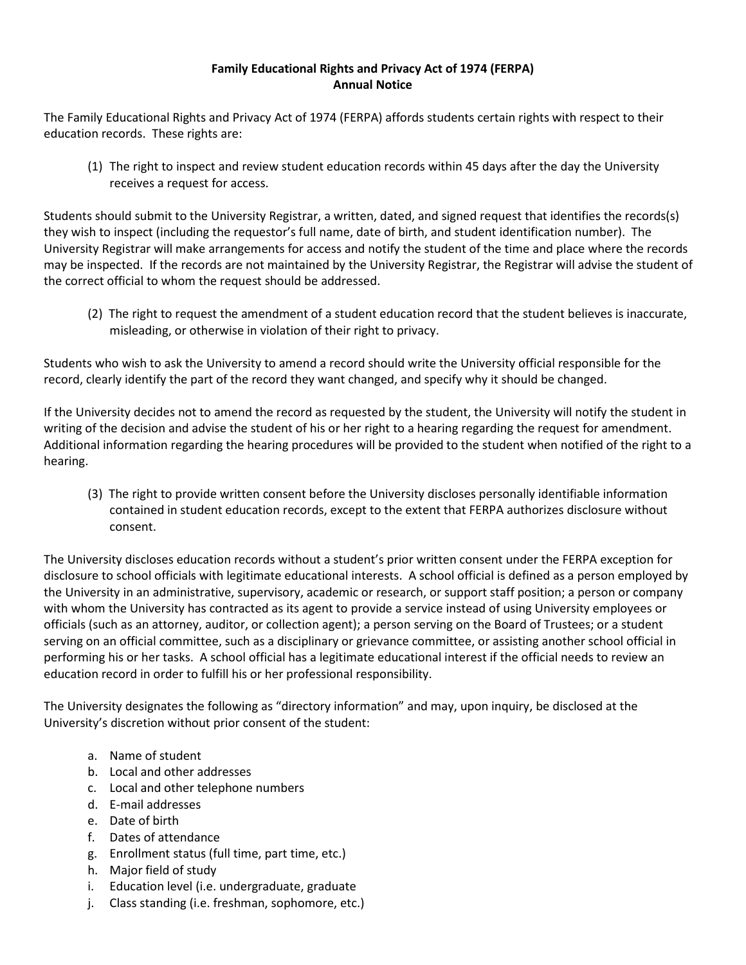## **Family Educational Rights and Privacy Act of 1974 (FERPA) Annual Notice**

The Family Educational Rights and Privacy Act of 1974 (FERPA) affords students certain rights with respect to their education records. These rights are:

(1) The right to inspect and review student education records within 45 days after the day the University receives a request for access.

Students should submit to the University Registrar, a written, dated, and signed request that identifies the records(s) they wish to inspect (including the requestor's full name, date of birth, and student identification number). The University Registrar will make arrangements for access and notify the student of the time and place where the records may be inspected. If the records are not maintained by the University Registrar, the Registrar will advise the student of the correct official to whom the request should be addressed.

(2) The right to request the amendment of a student education record that the student believes is inaccurate, misleading, or otherwise in violation of their right to privacy.

Students who wish to ask the University to amend a record should write the University official responsible for the record, clearly identify the part of the record they want changed, and specify why it should be changed.

If the University decides not to amend the record as requested by the student, the University will notify the student in writing of the decision and advise the student of his or her right to a hearing regarding the request for amendment. Additional information regarding the hearing procedures will be provided to the student when notified of the right to a hearing.

(3) The right to provide written consent before the University discloses personally identifiable information contained in student education records, except to the extent that FERPA authorizes disclosure without consent.

The University discloses education records without a student's prior written consent under the FERPA exception for disclosure to school officials with legitimate educational interests. A school official is defined as a person employed by the University in an administrative, supervisory, academic or research, or support staff position; a person or company with whom the University has contracted as its agent to provide a service instead of using University employees or officials (such as an attorney, auditor, or collection agent); a person serving on the Board of Trustees; or a student serving on an official committee, such as a disciplinary or grievance committee, or assisting another school official in performing his or her tasks. A school official has a legitimate educational interest if the official needs to review an education record in order to fulfill his or her professional responsibility.

The University designates the following as "directory information" and may, upon inquiry, be disclosed at the University's discretion without prior consent of the student:

- a. Name of student
- b. Local and other addresses
- c. Local and other telephone numbers
- d. E-mail addresses
- e. Date of birth
- f. Dates of attendance
- g. Enrollment status (full time, part time, etc.)
- h. Major field of study
- i. Education level (i.e. undergraduate, graduate
- j. Class standing (i.e. freshman, sophomore, etc.)